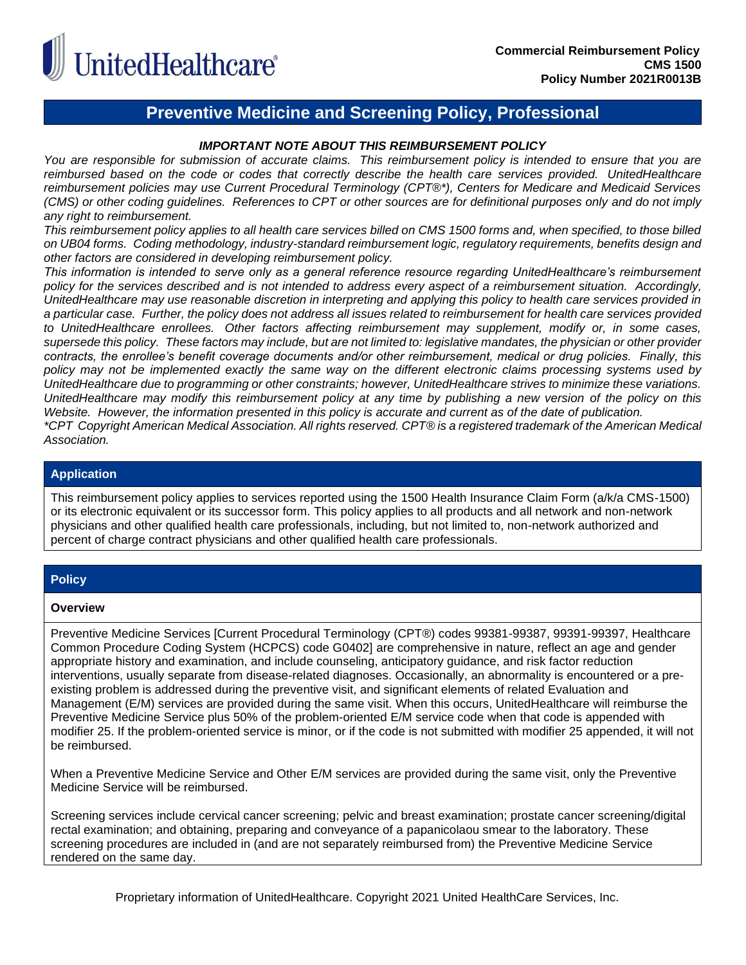

### **Preventive Medicine and Screening Policy, Professional**

#### *IMPORTANT NOTE ABOUT THIS REIMBURSEMENT POLICY*

*You are responsible for submission of accurate claims. This reimbursement policy is intended to ensure that you are reimbursed based on the code or codes that correctly describe the health care services provided. UnitedHealthcare reimbursement policies may use Current Procedural Terminology (CPT®\*), Centers for Medicare and Medicaid Services (CMS) or other coding guidelines. References to CPT or other sources are for definitional purposes only and do not imply any right to reimbursement.*

*This reimbursement policy applies to all health care services billed on CMS 1500 forms and, when specified, to those billed on UB04 forms. Coding methodology, industry-standard reimbursement logic, regulatory requirements, benefits design and other factors are considered in developing reimbursement policy.*

*This information is intended to serve only as a general reference resource regarding UnitedHealthcare's reimbursement policy for the services described and is not intended to address every aspect of a reimbursement situation. Accordingly, UnitedHealthcare may use reasonable discretion in interpreting and applying this policy to health care services provided in a particular case. Further, the policy does not address all issues related to reimbursement for health care services provided to UnitedHealthcare enrollees. Other factors affecting reimbursement may supplement, modify or, in some cases, supersede this policy. These factors may include, but are not limited to: legislative mandates, the physician or other provider contracts, the enrollee's benefit coverage documents and/or other reimbursement, medical or drug policies. Finally, this policy may not be implemented exactly the same way on the different electronic claims processing systems used by UnitedHealthcare due to programming or other constraints; however, UnitedHealthcare strives to minimize these variations. UnitedHealthcare may modify this reimbursement policy at any time by publishing a new version of the policy on this Website. However, the information presented in this policy is accurate and current as of the date of publication. \*CPT Copyright American Medical Association. All rights reserved. CPT® is a registered trademark of the American Medical Association.*

#### **Application**

This reimbursement policy applies to services reported using the 1500 Health Insurance Claim Form (a/k/a CMS-1500) or its electronic equivalent or its successor form. This policy applies to all products and all network and non-network physicians and other qualified health care professionals, including, but not limited to, non-network authorized and percent of charge contract physicians and other qualified health care professionals.

#### **Policy**

#### **Overview**

Preventive Medicine Services [Current Procedural Terminology (CPT®) codes 99381-99387, 99391-99397, Healthcare Common Procedure Coding System (HCPCS) code G0402] are comprehensive in nature, reflect an age and gender appropriate history and examination, and include counseling, anticipatory guidance, and risk factor reduction interventions, usually separate from disease-related diagnoses. Occasionally, an abnormality is encountered or a preexisting problem is addressed during the preventive visit, and significant elements of related Evaluation and Management (E/M) services are provided during the same visit. When this occurs, UnitedHealthcare will reimburse the Preventive Medicine Service plus 50% of the problem-oriented E/M service code when that code is appended with modifier 25. If the problem-oriented service is minor, or if the code is not submitted with modifier 25 appended, it will not be reimbursed.

When a Preventive Medicine Service and Other E/M services are provided during the same visit, only the Preventive Medicine Service will be reimbursed.

Screening services include cervical cancer screening; pelvic and breast examination; prostate cancer screening/digital rectal examination; and obtaining, preparing and conveyance of a papanicolaou smear to the laboratory. These screening procedures are included in (and are not separately reimbursed from) the Preventive Medicine Service rendered on the same day.

Proprietary information of UnitedHealthcare. Copyright 2021 United HealthCare Services, Inc.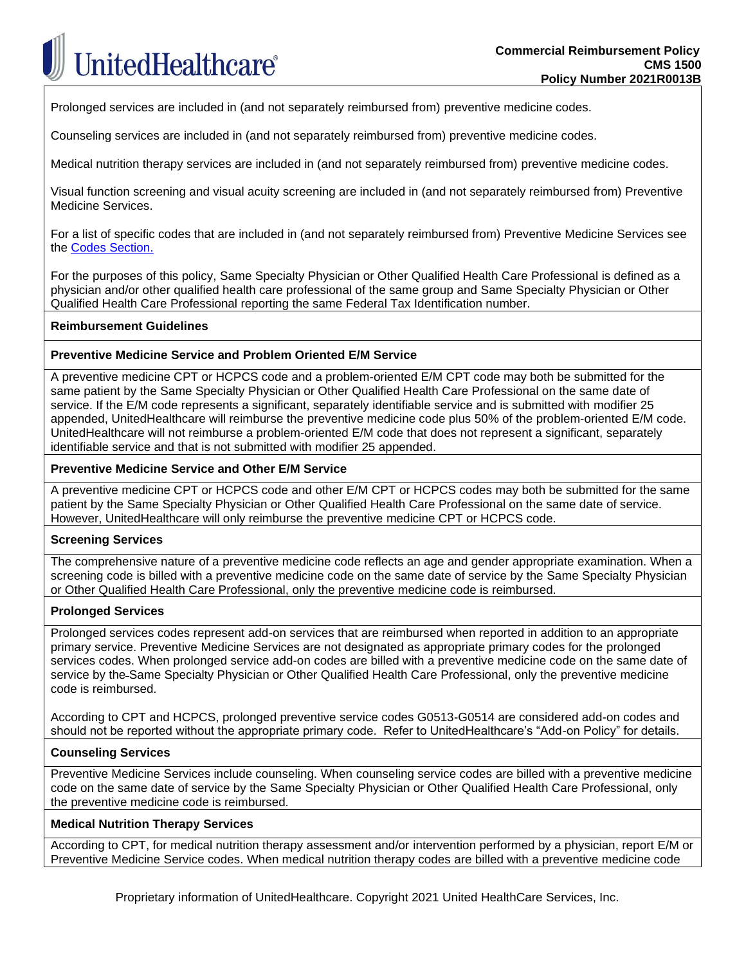Prolonged services are included in (and not separately reimbursed from) preventive medicine codes.

Counseling services are included in (and not separately reimbursed from) preventive medicine codes.

Medical nutrition therapy services are included in (and not separately reimbursed from) preventive medicine codes.

Visual function screening and visual acuity screening are included in (and not separately reimbursed from) Preventive Medicine Services.

For a list of specific codes that are included in (and not separately reimbursed from) Preventive Medicine Services see the [Codes Section.](#page-3-0)

For the purposes of this policy, Same Specialty Physician or Other Qualified Health Care Professional is defined as a physician and/or other qualified health care professional of the same group and Same Specialty Physician or Other Qualified Health Care Professional reporting the same Federal Tax Identification number.

#### **Reimbursement Guidelines**

#### **Preventive Medicine Service and Problem Oriented E/M Service**

A preventive medicine CPT or HCPCS code and a problem-oriented E/M CPT code may both be submitted for the same patient by the Same Specialty Physician or Other Qualified Health Care Professional on the same date of service. If the E/M code represents a significant, separately identifiable service and is submitted with modifier 25 appended, UnitedHealthcare will reimburse the preventive medicine code plus 50% of the problem-oriented E/M code. UnitedHealthcare will not reimburse a problem-oriented E/M code that does not represent a significant, separately identifiable service and that is not submitted with modifier 25 appended.

#### **Preventive Medicine Service and Other E/M Service**

A preventive medicine CPT or HCPCS code and other E/M CPT or HCPCS codes may both be submitted for the same patient by the Same Specialty Physician or Other Qualified Health Care Professional on the same date of service. However, UnitedHealthcare will only reimburse the preventive medicine CPT or HCPCS code.

#### **Screening Services**

The comprehensive nature of a preventive medicine code reflects an age and gender appropriate examination. When a screening code is billed with a preventive medicine code on the same date of service by the Same Specialty Physician or Other Qualified Health Care Professional, only the preventive medicine code is reimbursed.

#### **Prolonged Services**

Prolonged services codes represent add-on services that are reimbursed when reported in addition to an appropriate primary service. Preventive Medicine Services are not designated as appropriate primary codes for the prolonged services codes. When prolonged service add-on codes are billed with a preventive medicine code on the same date of service by the Same Specialty Physician or Other Qualified Health Care Professional, only the preventive medicine code is reimbursed.

According to CPT and HCPCS, prolonged preventive service codes G0513-G0514 are considered add-on codes and should not be reported without the appropriate primary code. Refer to UnitedHealthcare's "Add-on Policy" for details.

#### **Counseling Services**

Preventive Medicine Services include counseling. When counseling service codes are billed with a preventive medicine code on the same date of service by the Same Specialty Physician or Other Qualified Health Care Professional, only the preventive medicine code is reimbursed.

#### **Medical Nutrition Therapy Services**

According to CPT, for medical nutrition therapy assessment and/or intervention performed by a physician, report E/M or Preventive Medicine Service codes. When medical nutrition therapy codes are billed with a preventive medicine code

Proprietary information of UnitedHealthcare. Copyright 2021 United HealthCare Services, Inc.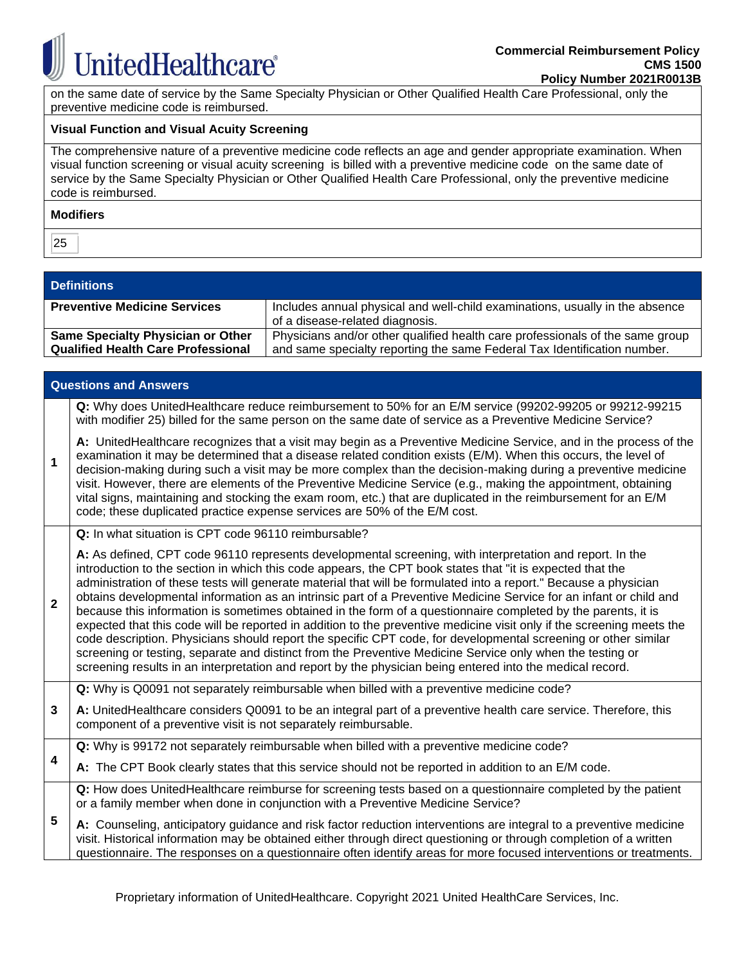**InitedHealthcare®** 

on the same date of service by the Same Specialty Physician or Other Qualified Health Care Professional, only the preventive medicine code is reimbursed.

#### **Visual Function and Visual Acuity Screening**

The comprehensive nature of a preventive medicine code reflects an age and gender appropriate examination. When visual function screening or visual acuity screening is billed with a preventive medicine code on the same date of service by the Same Specialty Physician or Other Qualified Health Care Professional, only the preventive medicine code is reimbursed.

#### **Modifiers**

25

#### **Definitions**

| <b>Preventive Medicine Services</b>                                                   | Includes annual physical and well-child examinations, usually in the absence                                                                              |
|---------------------------------------------------------------------------------------|-----------------------------------------------------------------------------------------------------------------------------------------------------------|
|                                                                                       | of a disease-related diagnosis.                                                                                                                           |
| <b>Same Specialty Physician or Other</b><br><b>Qualified Health Care Professional</b> | Physicians and/or other qualified health care professionals of the same group<br>and same specialty reporting the same Federal Tax Identification number. |

|              | <b>Questions and Answers</b>                                                                                                                                                                                                                                                                                                                                                                                                                                                                                                                                                                                                                                                                                                                                                                                                                                                                                                                                                                                                                          |
|--------------|-------------------------------------------------------------------------------------------------------------------------------------------------------------------------------------------------------------------------------------------------------------------------------------------------------------------------------------------------------------------------------------------------------------------------------------------------------------------------------------------------------------------------------------------------------------------------------------------------------------------------------------------------------------------------------------------------------------------------------------------------------------------------------------------------------------------------------------------------------------------------------------------------------------------------------------------------------------------------------------------------------------------------------------------------------|
|              | Q: Why does UnitedHealthcare reduce reimbursement to 50% for an E/M service (99202-99205 or 99212-99215<br>with modifier 25) billed for the same person on the same date of service as a Preventive Medicine Service?                                                                                                                                                                                                                                                                                                                                                                                                                                                                                                                                                                                                                                                                                                                                                                                                                                 |
| 1            | A: UnitedHealthcare recognizes that a visit may begin as a Preventive Medicine Service, and in the process of the<br>examination it may be determined that a disease related condition exists (E/M). When this occurs, the level of<br>decision-making during such a visit may be more complex than the decision-making during a preventive medicine<br>visit. However, there are elements of the Preventive Medicine Service (e.g., making the appointment, obtaining<br>vital signs, maintaining and stocking the exam room, etc.) that are duplicated in the reimbursement for an E/M<br>code; these duplicated practice expense services are 50% of the E/M cost.                                                                                                                                                                                                                                                                                                                                                                                 |
|              | Q: In what situation is CPT code 96110 reimbursable?                                                                                                                                                                                                                                                                                                                                                                                                                                                                                                                                                                                                                                                                                                                                                                                                                                                                                                                                                                                                  |
| $\mathbf{2}$ | A: As defined, CPT code 96110 represents developmental screening, with interpretation and report. In the<br>introduction to the section in which this code appears, the CPT book states that "it is expected that the<br>administration of these tests will generate material that will be formulated into a report." Because a physician<br>obtains developmental information as an intrinsic part of a Preventive Medicine Service for an infant or child and<br>because this information is sometimes obtained in the form of a questionnaire completed by the parents, it is<br>expected that this code will be reported in addition to the preventive medicine visit only if the screening meets the<br>code description. Physicians should report the specific CPT code, for developmental screening or other similar<br>screening or testing, separate and distinct from the Preventive Medicine Service only when the testing or<br>screening results in an interpretation and report by the physician being entered into the medical record. |
|              | Q: Why is Q0091 not separately reimbursable when billed with a preventive medicine code?                                                                                                                                                                                                                                                                                                                                                                                                                                                                                                                                                                                                                                                                                                                                                                                                                                                                                                                                                              |
| 3            | A: UnitedHealthcare considers Q0091 to be an integral part of a preventive health care service. Therefore, this<br>component of a preventive visit is not separately reimbursable.                                                                                                                                                                                                                                                                                                                                                                                                                                                                                                                                                                                                                                                                                                                                                                                                                                                                    |
| 4            | Q: Why is 99172 not separately reimbursable when billed with a preventive medicine code?                                                                                                                                                                                                                                                                                                                                                                                                                                                                                                                                                                                                                                                                                                                                                                                                                                                                                                                                                              |
|              | A: The CPT Book clearly states that this service should not be reported in addition to an E/M code.                                                                                                                                                                                                                                                                                                                                                                                                                                                                                                                                                                                                                                                                                                                                                                                                                                                                                                                                                   |
|              | Q: How does UnitedHealthcare reimburse for screening tests based on a questionnaire completed by the patient<br>or a family member when done in conjunction with a Preventive Medicine Service?                                                                                                                                                                                                                                                                                                                                                                                                                                                                                                                                                                                                                                                                                                                                                                                                                                                       |
| 5            | A: Counseling, anticipatory guidance and risk factor reduction interventions are integral to a preventive medicine<br>visit. Historical information may be obtained either through direct questioning or through completion of a written<br>questionnaire. The responses on a questionnaire often identify areas for more focused interventions or treatments.                                                                                                                                                                                                                                                                                                                                                                                                                                                                                                                                                                                                                                                                                        |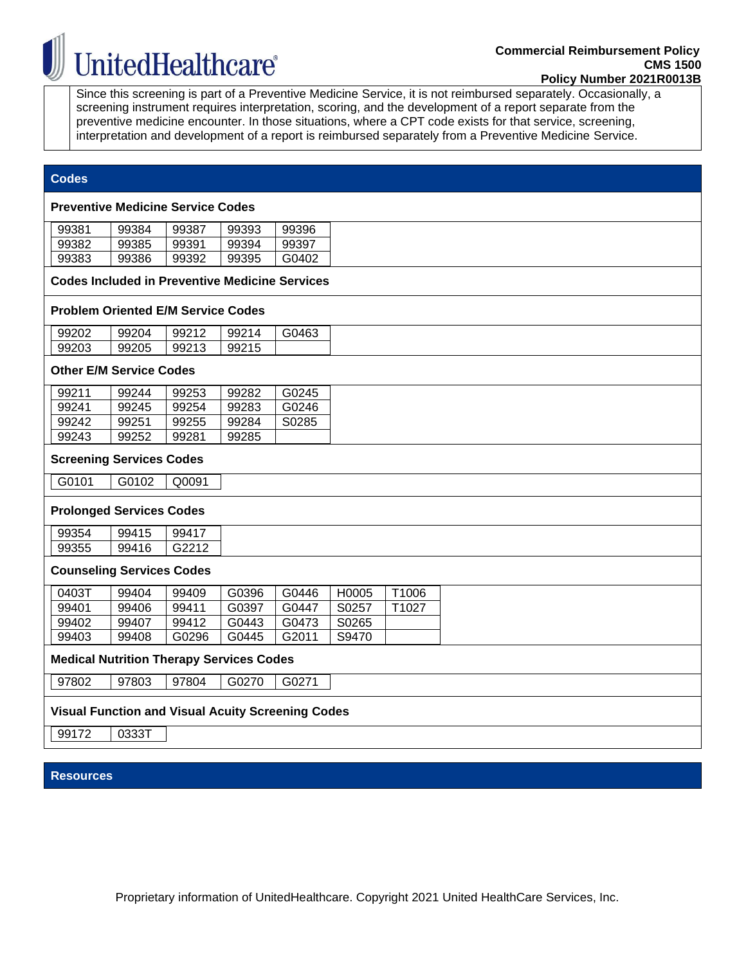## **UnitedHealthcare®**

Since this screening is part of a Preventive Medicine Service, it is not reimbursed separately. Occasionally, a screening instrument requires interpretation, scoring, and the development of a report separate from the preventive medicine encounter. In those situations, where a CPT code exists for that service, screening, interpretation and development of a report is reimbursed separately from a Preventive Medicine Service.

#### **Codes**

#### **Preventive Medicine Service Codes**

| 99381 | 99384 | 99387 | 99393 | 99396 |
|-------|-------|-------|-------|-------|
| 99382 | 99385 | 99391 | 99394 | 99397 |
| 99383 | 99386 | 99392 | 99395 | G0402 |

<span id="page-3-0"></span>**Codes Included in Preventive Medicine Services**

#### **Problem Oriented E/M Service Codes**

| 99202 | 99204 | 99212 | 9921  | G0463 |
|-------|-------|-------|-------|-------|
| 99203 | 99205 | 99213 | 99215 |       |

#### **Other E/M Service Codes**

| 99211 | 99244 | 99253 | 99282 | G0245 |
|-------|-------|-------|-------|-------|
| 99241 | 99245 | 99254 | 99283 | G0246 |
| 99242 | 99251 | 99255 | 99284 | S0285 |
| 99243 | 99252 | 99281 | 99285 |       |

#### **Screening Services Codes**

|--|

#### **Prolonged Services Codes**

| 99354 | .<br>994<br>7 F<br>. | $19941$ <sup>-</sup>          |
|-------|----------------------|-------------------------------|
| 99355 | 99416                | 040<br>$\cdots$<br>--<br>U 44 |

#### **Counseling Services Codes**

| 0403T | 99404 | 99409 | G0396 | G0446 | H0005 | T1006 |
|-------|-------|-------|-------|-------|-------|-------|
| 99401 | 99406 | 99411 | G0397 | G0447 | S0257 | T1027 |
| 99402 | 99407 | 99412 | G0443 | G0473 | S0265 |       |
| 99403 | 99408 | G0296 | G0445 | G2011 | S9470 |       |

#### **Medical Nutrition Therapy Services Codes**

97802 | 97803 | 97804 | G0270 | G0271

#### **Visual Function and Visual Acuity Screening Codes**

99172 0333T

#### **Resources**